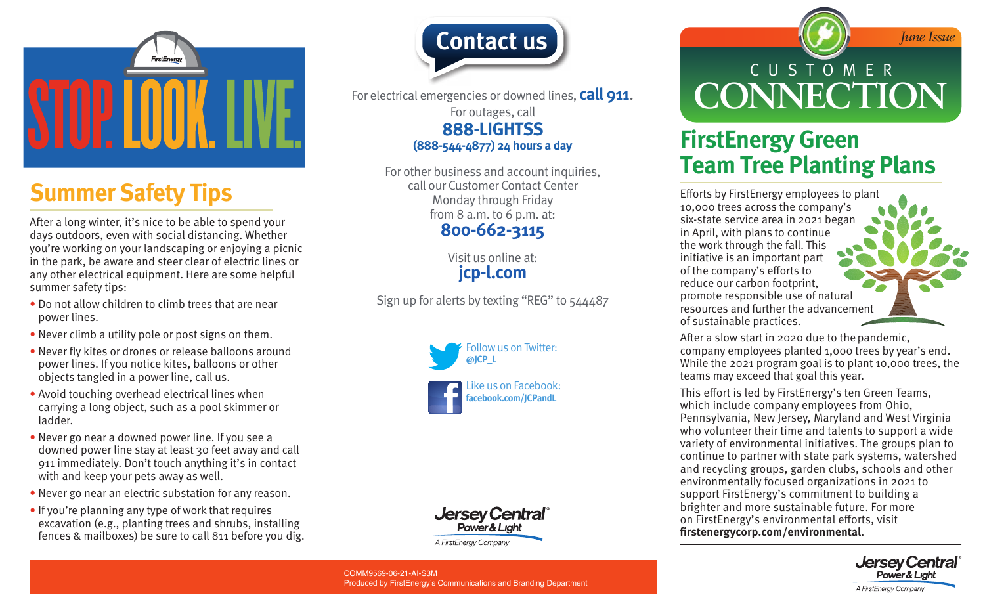

# **Summer Safety Tips**

After a long winter, it's nice to be able to spend your days outdoors, even with social distancing. Whether you're working on your landscaping or enjoying a picnic in the park, be aware and steer clear of electric lines or any other electrical equipment. Here are some helpful summer safety tips:

- Do not allow children to climb trees that are near power lines.
- Never climb a utility pole or post signs on them.
- Never fly kites or drones or release balloons around power lines. If you notice kites, balloons or other objects tangled in a power line, call us.
- Avoid touching overhead electrical lines when carrying a long object, such as a pool skimmer or ladder.
- Never go near a downed power line. If you see a downed power line stay at least 30 feet away and call 911 immediately. Don't touch anything it's in contact with and keep your pets away as well.
- Never go near an electric substation for any reason.
- If you're planning any type of work that requires excavation (e.g., planting trees and shrubs, installing fences & mailboxes) be sure to call 811 before you dig.



For electrical emergencies or downed lines, **call 911**. For outages, call **888-LIGHTSS (888-544-4877) 24 hours a day**

> For other business and account inquiries, call our Customer Contact Center Monday through Friday from 8 a.m. to 6 p.m. at: **800-662-3115**

> > Visit us online at: **[jcp-l.com](https://www.firstenergycorp.com/jersey_central_power_light.html)**

Sign up for alerts by texting "REG" to 544487





CUSTOMER **CONNECTION**

*June Issue*

### **FirstEnergy Green Team Tree Planting Plans**

Efforts by FirstEnergy employees to plant 10,000 trees across the company's six-state service area in 2021 began in April, with plans to continue the work through the fall. This initiative is an important part of the company's efforts to reduce our carbon footprint, promote responsible use of natural resources and further the advancement of sustainable practices.

After a slow start in 2020 due to the pandemic, company employees planted 1,000 trees by year's end. While the 2021 program goal is to plant 10,000 trees, the teams may exceed that goal this year.

This effort is led by FirstEnergy's ten Green Teams, which include company employees from Ohio, Pennsylvania, New Jersey, Maryland and West Virginia who volunteer their time and talents to support a wide variety of environmental initiatives. The groups plan to continue to partner with state park systems, watershed and recycling groups, garden clubs, schools and other environmentally focused organizations in 2021 to support FirstEnergy's commitment to building a brighter and more sustainable future. For more on FirstEnergy's environmental efforts, visit **[firstenergycorp.com/environmental](https://firstenergycorp.com/environmental.html)**.



COMM9569-06-21-AI-S3M Produced by FirstEnergy's Communications and Branding Department